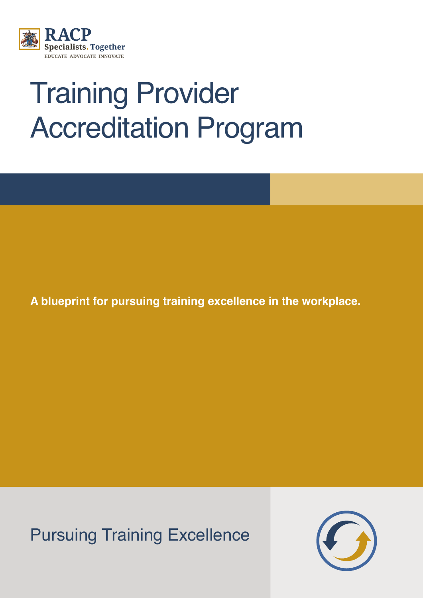

## Training Provider Accreditation Program

**A blueprint for pursuing training excellence in the workplace.**

Pursuing Training Excellence

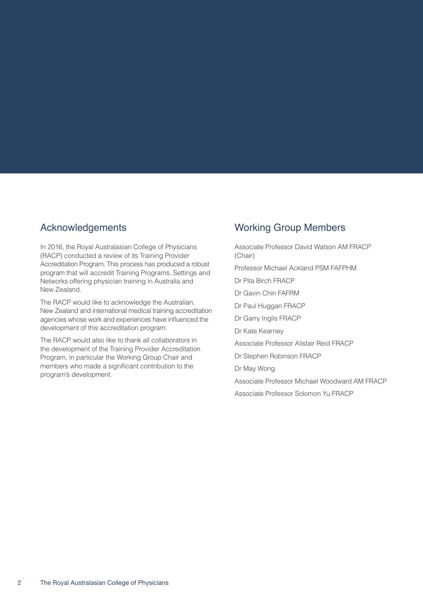## Acknowledgements

In 2016, the Royal Australasian College of Physicians (RACP) conducted a review of its Training Provider Accreditation Program. This process has produced a robust program that will accredit Training Programs, Settings and Networks offering physician training in Australia and New Zealand.

The RACP would like to acknowledge the Australian, New Zealand and international medical training accreditation agencies whose work and experiences have influenced the development of this accreditation program.

The RACP would also like to thank all collaborators in the development of the Training Provider Accreditation Program, in particular the Working Group Chair and members who made a significant contribution to the program's development.

## Working Group Members

Associate Professor David Watson AM FRACP (Chair) Professor Michael Ackland PSM FAFPHM Dr Pita Birch FRACP Dr Gavin Chin FAFRM Dr Paul Huggan FRACP Dr Garry Inglis FRACP

Dr Kate Kearney

Associate Professor Alistair Reid FRACP

Dr Stephen Robinson FRACP

Dr May Wong

Associate Professor Michael Woodward AM FRACP

Associate Professor Solomon Yu FRACP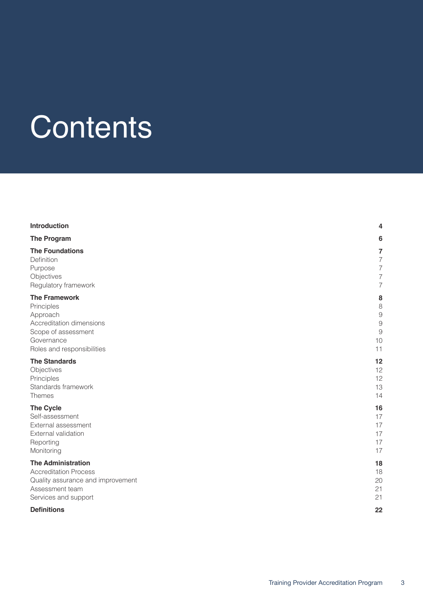## **Contents**

| <b>Introduction</b>               | 4              |
|-----------------------------------|----------------|
| <b>The Program</b>                | 6              |
| <b>The Foundations</b>            | 7              |
| Definition                        | $\overline{7}$ |
| Purpose                           | $\overline{7}$ |
| Objectives                        | $\overline{7}$ |
| Regulatory framework              | $\overline{7}$ |
| <b>The Framework</b>              | 8              |
| Principles                        | 8              |
| Approach                          | $\mathcal{G}$  |
| Accreditation dimensions          | 9              |
| Scope of assessment               | 9              |
| Governance                        | 10             |
| Roles and responsibilities        | 11             |
| <b>The Standards</b>              | 12             |
| Objectives                        | 12             |
| Principles                        | 12             |
| Standards framework               | 13             |
| Themes                            | 14             |
| <b>The Cycle</b>                  | 16             |
| Self-assessment                   | 17             |
| External assessment               | 17             |
| External validation               | 17             |
| Reporting                         | 17             |
| Monitoring                        | 17             |
| <b>The Administration</b>         | 18             |
| <b>Accreditation Process</b>      | 18             |
| Quality assurance and improvement | 20             |
| Assessment team                   | 21             |
| Services and support              | 21             |
| <b>Definitions</b>                | 22             |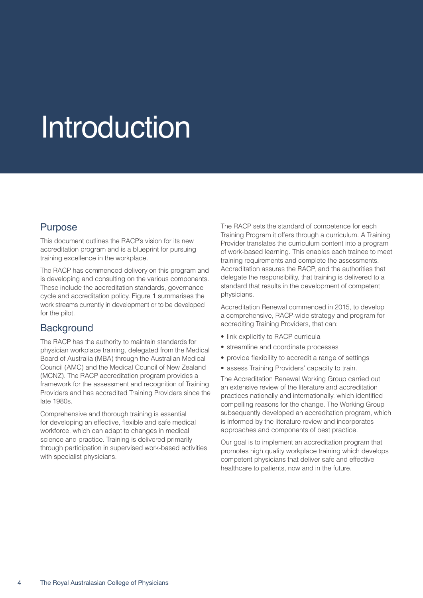## Introduction

## Purpose

This document outlines the RACP's vision for its new accreditation program and is a blueprint for pursuing training excellence in the workplace.

The RACP has commenced delivery on this program and is developing and consulting on the various components. These include the accreditation standards, governance cycle and accreditation policy. Figure 1 summarises the work streams currently in development or to be developed for the pilot.

## **Background**

The RACP has the authority to maintain standards for physician workplace training, delegated from the Medical Board of Australia (MBA) through the Australian Medical Council (AMC) and the Medical Council of New Zealand (MCNZ). The RACP accreditation program provides a framework for the assessment and recognition of Training Providers and has accredited Training Providers since the late 1980s.

Comprehensive and thorough training is essential for developing an effective, flexible and safe medical workforce, which can adapt to changes in medical science and practice. Training is delivered primarily through participation in supervised work-based activities with specialist physicians.

The RACP sets the standard of competence for each Training Program it offers through a curriculum. A Training Provider translates the curriculum content into a program of work-based learning. This enables each trainee to meet training requirements and complete the assessments. Accreditation assures the RACP, and the authorities that delegate the responsibility, that training is delivered to a standard that results in the development of competent physicians.

Accreditation Renewal commenced in 2015, to develop a comprehensive, RACP-wide strategy and program for accrediting Training Providers, that can:

- link explicitly to RACP curricula
- streamline and coordinate processes
- provide flexibility to accredit a range of settings
- assess Training Providers' capacity to train.

The Accreditation Renewal Working Group carried out an extensive review of the literature and accreditation practices nationally and internationally, which identified compelling reasons for the change. The Working Group subsequently developed an accreditation program, which is informed by the literature review and incorporates approaches and components of best practice.

Our goal is to implement an accreditation program that promotes high quality workplace training which develops competent physicians that deliver safe and effective healthcare to patients, now and in the future.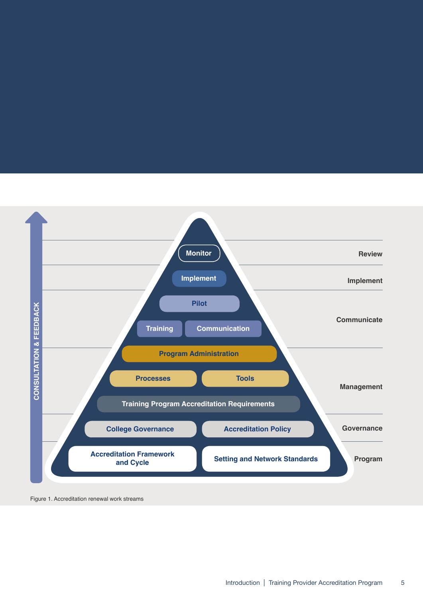

Figure 1. Accreditation renewal work streams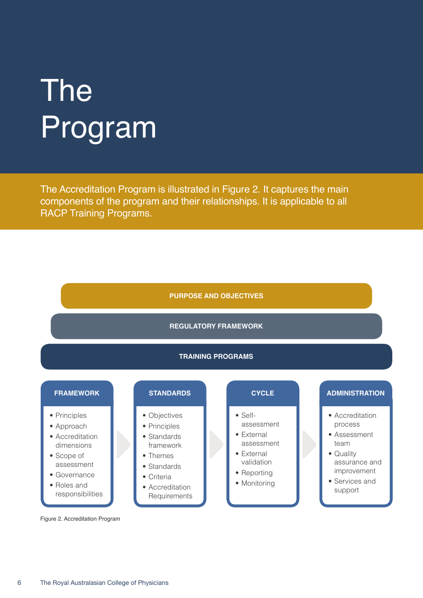## The Program

The Accreditation Program is illustrated in Figure 2. It captures the main components of the program and their relationships. It is applicable to all RACP Training Programs.

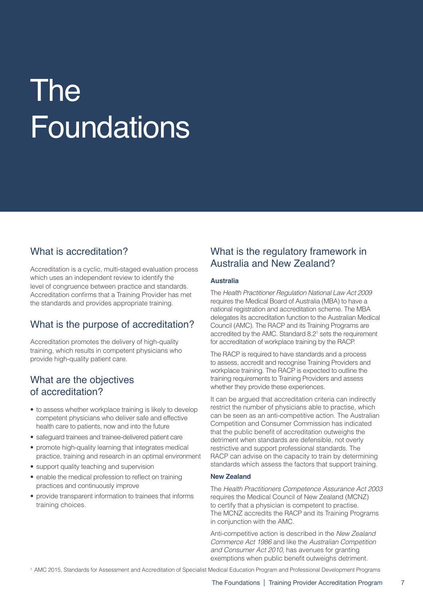## The **Foundations**

## What is accreditation?

Accreditation is a cyclic, multi-staged evaluation process which uses an independent review to identify the level of congruence between practice and standards. Accreditation confirms that a Training Provider has met the standards and provides appropriate training.

## What is the purpose of accreditation?

Accreditation promotes the delivery of high-quality training, which results in competent physicians who provide high-quality patient care.

## What are the objectives of accreditation?

- to assess whether workplace training is likely to develop competent physicians who deliver safe and effective health care to patients, now and into the future
- safeguard trainees and trainee-delivered patient care
- promote high-quality learning that integrates medical practice, training and research in an optimal environment
- support quality teaching and supervision
- enable the medical profession to reflect on training practices and continuously improve
- provide transparent information to trainees that informs training choices.

## What is the regulatory framework in Australia and New Zealand?

#### **Australia**

The *Health Practitioner Regulation National Law Act 2009* requires the Medical Board of Australia (MBA) to have a national registration and accreditation scheme. The MBA delegates its accreditation function to the Australian Medical Council (AMC). The RACP and its Training Programs are accredited by the AMC. Standard 8.2<sup>1</sup> sets the requirement for accreditation of workplace training by the RACP.

The RACP is required to have standards and a process to assess, accredit and recognise Training Providers and workplace training. The RACP is expected to outline the training requirements to Training Providers and assess whether they provide these experiences.

It can be argued that accreditation criteria can indirectly restrict the number of physicians able to practise, which can be seen as an anti-competitive action. The Australian Competition and Consumer Commission has indicated that the public benefit of accreditation outweighs the detriment when standards are defensible, not overly restrictive and support professional standards. The RACP can advise on the capacity to train by determining standards which assess the factors that support training.

#### **New Zealand**

The *Health Practitioners Competence Assurance Act 2003*  requires the Medical Council of New Zealand (MCNZ) to certify that a physician is competent to practise. The MCNZ accredits the RACP and its Training Programs in conjunction with the AMC.

Anti-competitive action is described in the *New Zealand Commerce Act 1986* and like the *Australian Competition and Consumer Act 2010,* has avenues for granting exemptions when public benefit outweighs detriment.

<sup>1</sup> AMC 2015, Standards for Assessment and Accreditation of Specialist Medical Education Program and Professional Development Programs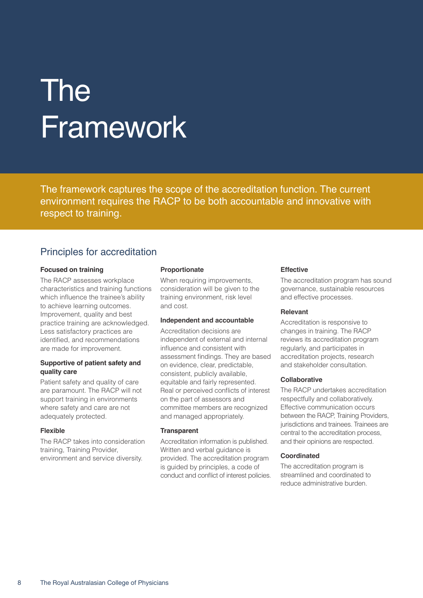## The **Framework**

The framework captures the scope of the accreditation function. The current environment requires the RACP to be both accountable and innovative with respect to training.

## Principles for accreditation

#### **Focused on training**

The RACP assesses workplace characteristics and training functions which influence the trainee's ability to achieve learning outcomes. Improvement, quality and best practice training are acknowledged. Less satisfactory practices are identified, and recommendations are made for improvement.

#### **Supportive of patient safety and quality care**

Patient safety and quality of care are paramount. The RACP will not support training in environments where safety and care are not adequately protected.

#### **Flexible**

The RACP takes into consideration training, Training Provider, environment and service diversity.

#### **Proportionate**

When requiring improvements, consideration will be given to the training environment, risk level and cost.

#### **Independent and accountable**

Accreditation decisions are independent of external and internal influence and consistent with assessment findings. They are based on evidence, clear, predictable, consistent, publicly available, equitable and fairly represented. Real or perceived conflicts of interest on the part of assessors and committee members are recognized and managed appropriately.

#### **Transparent**

Accreditation information is published. Written and verbal quidance is provided. The accreditation program is guided by principles, a code of conduct and conflict of interest policies.

#### **Effective**

The accreditation program has sound governance, sustainable resources and effective processes.

#### **Relevant**

Accreditation is responsive to changes in training. The RACP reviews its accreditation program regularly, and participates in accreditation projects, research and stakeholder consultation.

#### **Collaborative**

The RACP undertakes accreditation respectfully and collaboratively. Effective communication occurs between the RACP, Training Providers, jurisdictions and trainees. Trainees are central to the accreditation process, and their opinions are respected.

#### **Coordinated**

The accreditation program is streamlined and coordinated to reduce administrative burden.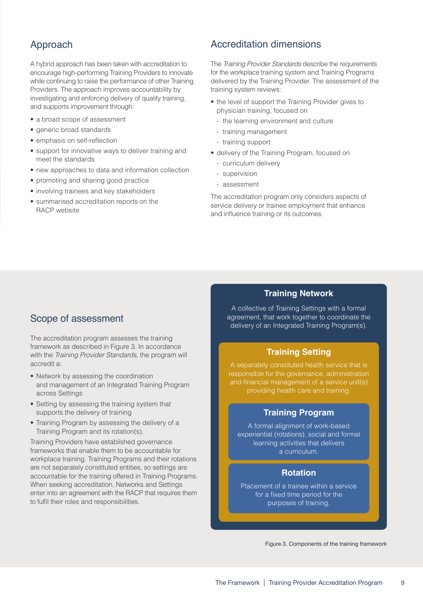## Approach

A hybrid approach has been taken with accreditation to encourage high-performing Training Providers to innovate while continuing to raise the performance of other Training Providers. The approach improves accountability by investigating and enforcing delivery of quality training, and supports improvement through:

- a broad scope of assessment
- generic broad standards
- emphasis on self-reflection
- support for innovative ways to deliver training and meet the standards
- new approaches to data and information collection
- promoting and sharing good practice
- involving trainees and key stakeholders
- summarised accreditation reports on the RACP website

### Accreditation dimensions

The *Training Provider Standards* describe the requirements for the workplace training system and Training Programs delivered by the Training Provider. The assessment of the training system reviews:

- the level of support the Training Provider gives to physician training, focused on
	- the learning environment and culture
	- training management
	- training support
- delivery of the Training Program, focused on
	- curriculum delivery
	- supervision
	- assessment

The accreditation program only considers aspects of service delivery or trainee employment that enhance and influence training or its outcomes.

## Scope of assessment

The accreditation program assesses the training framework as described in Figure 3. In accordance with the *Training Provider Standards*, the program will accredit a:

- Network by assessing the coordination and management of an Integrated Training Program across Settings
- Setting by assessing the training system that supports the delivery of training
- Training Program by assessing the delivery of a Training Program and its rotation(s).

Training Providers have established governance frameworks that enable them to be accountable for workplace training. Training Programs and their rotations are not separately constituted entities, so settings are accountable for the training offered in Training Programs. When seeking accreditation, Networks and Settings enter into an agreement with the RACP that requires them to fulfil their roles and responsibilities.

### **Training Network**

A collective of Training Settings with a formal agreement, that work together to coordinate the delivery of an Integrated Training Program(s).

#### **Training Setting**

A separately constituted health service that is responsible for the governance, administration and financial management of a service unit(s) providing health care and training.

#### **Training Program**

A formal alignment of work-based experiential (rotations), social and formal learning activities that delivers a curriculum.

#### **Rotation**

Placement of a trainee within a service for a fixed time period for the purposes of training.

Figure 3. Components of the training framework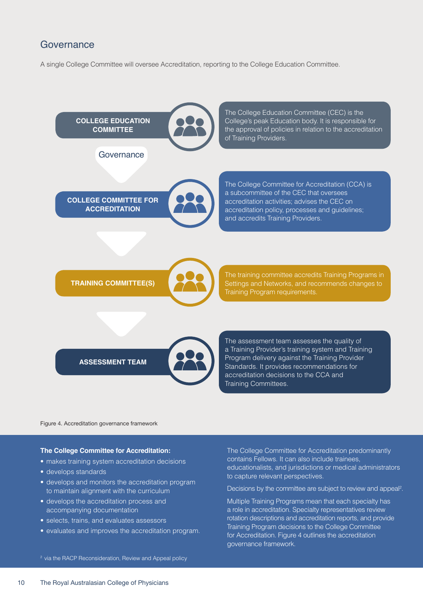## Governance

A single College Committee will oversee Accreditation, reporting to the College Education Committee.



Figure 4. Accreditation governance framework

#### **The College Committee for Accreditation:**

- makes training system accreditation decisions
- develops standards
- develops and monitors the accreditation program to maintain alignment with the curriculum
- develops the accreditation process and accompanying documentation
- selects, trains, and evaluates assessors
- evaluates and improves the accreditation program.

The College Committee for Accreditation predominantly contains Fellows. It can also include trainees, educationalists, and jurisdictions or medical administrators to capture relevant perspectives.

Decisions by the committee are subject to review and appeal<sup>2</sup>.

Multiple Training Programs mean that each specialty has a role in accreditation. Specialty representatives review rotation descriptions and accreditation reports, and provide Training Program decisions to the College Committee for Accreditation. Figure 4 outlines the accreditation governance framework.

<sup>2</sup> via the RACP Reconsideration, Review and Appeal policy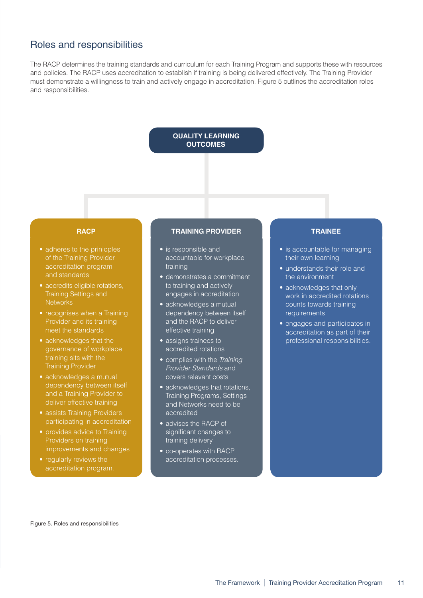## Roles and responsibilities

The RACP determines the training standards and curriculum for each Training Program and supports these with resources and policies. The RACP uses accreditation to establish if training is being delivered effectively. The Training Provider must demonstrate a willingness to train and actively engage in accreditation. Figure 5 outlines the accreditation roles and responsibilities.



Figure 5. Roles and responsibilities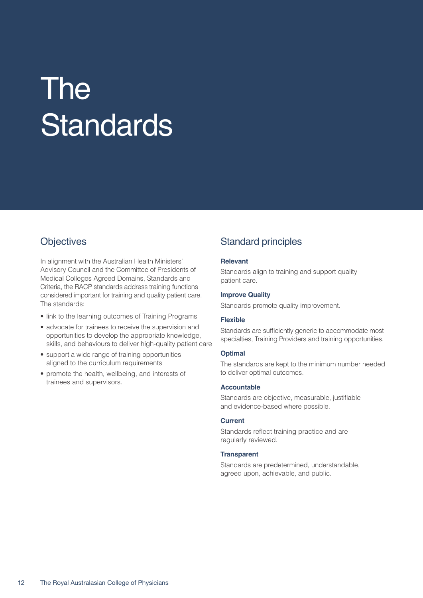## The **Standards**

## **Objectives**

In alignment with the Australian Health Ministers' Advisory Council and the Committee of Presidents of Medical Colleges Agreed Domains, Standards and Criteria, the RACP standards address training functions considered important for training and quality patient care. The standards:

- link to the learning outcomes of Training Programs
- advocate for trainees to receive the supervision and opportunities to develop the appropriate knowledge, skills, and behaviours to deliver high-quality patient care
- support a wide range of training opportunities aligned to the curriculum requirements
- promote the health, wellbeing, and interests of trainees and supervisors.

## Standard principles

#### **Relevant**

Standards align to training and support quality patient care.

#### **Improve Quality**

Standards promote quality improvement.

#### **Flexible**

Standards are sufficiently generic to accommodate most specialties, Training Providers and training opportunities.

#### **Optimal**

The standards are kept to the minimum number needed to deliver optimal outcomes.

#### **Accountable**

Standards are objective, measurable, justifiable and evidence-based where possible.

#### **Current**

Standards reflect training practice and are regularly reviewed.

#### **Transparent**

Standards are predetermined, understandable, agreed upon, achievable, and public.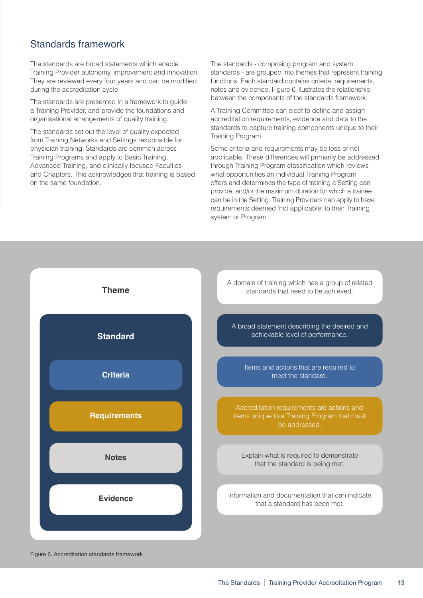## Standards framework

The standards are broad statements which enable Training Provider autonomy, improvement and innovation. They are reviewed every four years and can be modified during the accreditation cycle.

The standards are presented in a framework to guide a Training Provider, and provide the foundations and organisational arrangements of quality training.

The standards set out the level of quality expected from Training Networks and Settings responsible for physician training. Standards are common across Training Programs and apply to Basic Training, Advanced Training, and clinically focused Faculties and Chapters. This acknowledges that training is based on the same foundation.

The standards - comprising program and system standards - are grouped into themes that represent training functions. Each standard contains criteria, requirements, notes and evidence. Figure 6 illustrates the relationship between the components of the standards framework.

A Training Committee can elect to define and assign accreditation requirements, evidence and data to the standards to capture training components unique to their Training Program.

Some criteria and requirements may be less or not applicable. These differences will primarily be addressed through Training Program classification which reviews what opportunities an individual Training Program offers and determines the type of training a Setting can provide, and/or the maximum duration for which a trainee can be in the Setting. Training Providers can apply to have requirements deemed 'not applicable' to their Training system or Program.



Figure 6. Accreditation standards framework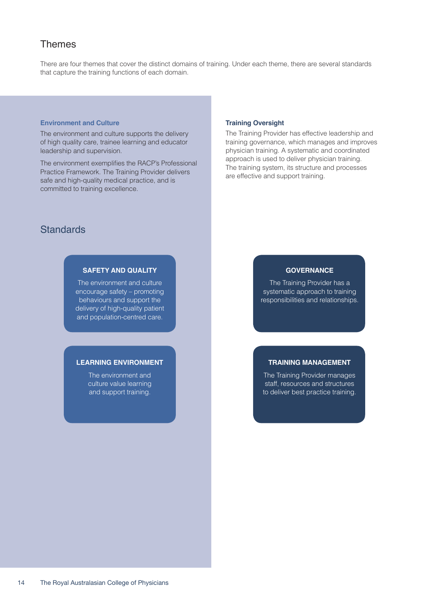## Themes

There are four themes that cover the distinct domains of training. Under each theme, there are several standards that capture the training functions of each domain.

#### **Environment and Culture**

The environment and culture supports the delivery of high quality care, trainee learning and educator leadership and supervision.

The environment exemplifies the RACP's Professional Practice Framework. The Training Provider delivers safe and high-quality medical practice, and is committed to training excellence.

#### **Training Oversight**

The Training Provider has effective leadership and training governance, which manages and improves physician training. A systematic and coordinated approach is used to deliver physician training. The training system, its structure and processes are effective and support training.

## **Standards**

#### **SAFETY AND QUALITY**

The environment and culture encourage safety – promoting behaviours and support the delivery of high-quality patient and population-centred care.

#### **LEARNING ENVIRONMENT**

The environment and culture value learning and support training.

#### **GOVERNANCE**

The Training Provider has a systematic approach to training responsibilities and relationships.

#### **TRAINING MANAGEMENT**

The Training Provider manages staff, resources and structures to deliver best practice training.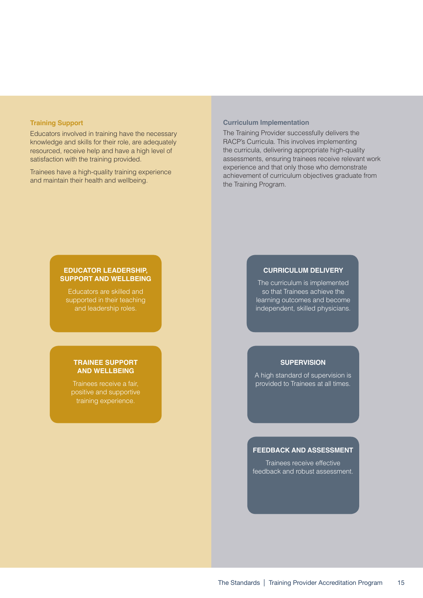#### **Training Support**

Educators involved in training have the necessary knowledge and skills for their role, are adequately resourced, receive help and have a high level of satisfaction with the training provided.

Trainees have a high-quality training experience and maintain their health and wellbeing.

#### **Curriculum Implementation**

The Training Provider successfully delivers the RACP's Curricula. This involves implementing the curricula, delivering appropriate high-quality assessments, ensuring trainees receive relevant work experience and that only those who demonstrate achievement of curriculum objectives graduate from the Training Program.

#### **EDUCATOR LEADERSHIP, SUPPORT AND WELLBEING**

Educators are skilled and supported in their teaching and leadership roles.

#### **TRAINEE SUPPORT AND WELLBEING**

positive and supportive training experience.

#### **CURRICULUM DELIVERY**

The curriculum is implemented so that Trainees achieve the learning outcomes and become independent, skilled physicians.

#### **SUPERVISION**

A high standard of supervision is provided to Trainees at all times.

#### **FEEDBACK AND ASSESSMENT**

Trainees receive effective feedback and robust assessment.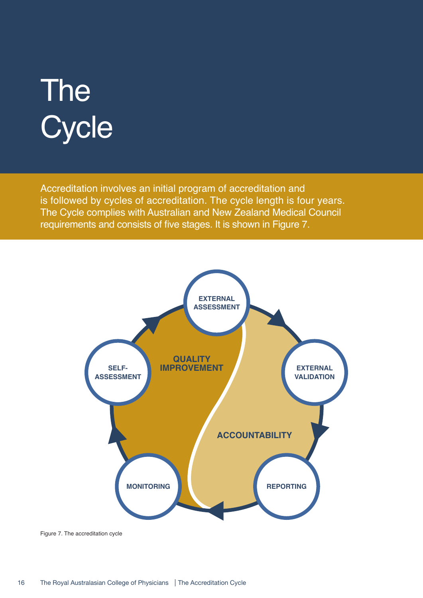# The **Cycle**

Accreditation involves an initial program of accreditation and is followed by cycles of accreditation. The cycle length is four years. The Cycle complies with Australian and New Zealand Medical Council requirements and consists of five stages. It is shown in Figure 7.



Figure 7. The accreditation cycle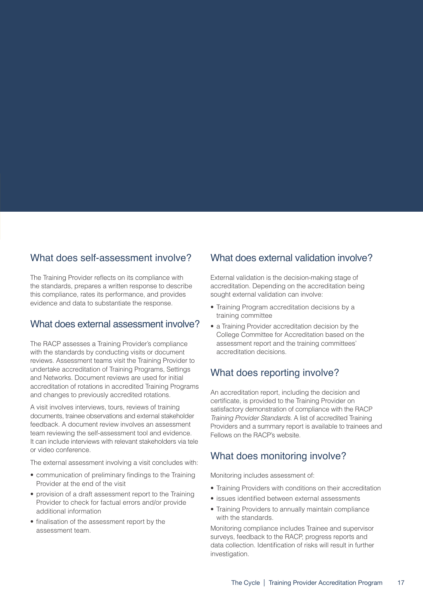## What does self-assessment involve?

The Training Provider reflects on its compliance with the standards, prepares a written response to describe this compliance, rates its performance, and provides evidence and data to substantiate the response.

## What does external assessment involve?

The RACP assesses a Training Provider's compliance with the standards by conducting visits or document reviews. Assessment teams visit the Training Provider to undertake accreditation of Training Programs, Settings and Networks. Document reviews are used for initial accreditation of rotations in accredited Training Programs and changes to previously accredited rotations.

A visit involves interviews, tours, reviews of training documents, trainee observations and external stakeholder feedback. A document review involves an assessment team reviewing the self-assessment tool and evidence. It can include interviews with relevant stakeholders via tele or video conference.

The external assessment involving a visit concludes with:

- communication of preliminary findings to the Training Provider at the end of the visit
- provision of a draft assessment report to the Training Provider to check for factual errors and/or provide additional information
- finalisation of the assessment report by the assessment team.

## What does external validation involve?

External validation is the decision-making stage of accreditation. Depending on the accreditation being sought external validation can involve:

- Training Program accreditation decisions by a training committee
- a Training Provider accreditation decision by the College Committee for Accreditation based on the assessment report and the training committees' accreditation decisions.

## What does reporting involve?

An accreditation report, including the decision and certificate, is provided to the Training Provider on satisfactory demonstration of compliance with the RACP *Training Provider Standards*. A list of accredited Training Providers and a summary report is available to trainees and Fellows on the RACP's website.

## What does monitoring involve?

Monitoring includes assessment of:

- Training Providers with conditions on their accreditation
- issues identified between external assessments
- Training Providers to annually maintain compliance with the standards.

Monitoring compliance includes Trainee and supervisor surveys, feedback to the RACP, progress reports and data collection. Identification of risks will result in further investigation.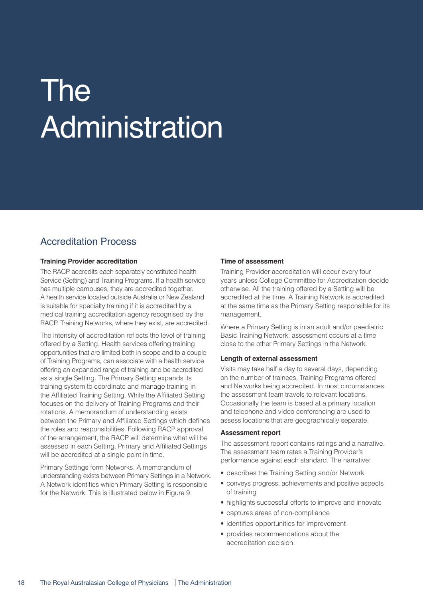## The **Administration**

## Accreditation Process

#### **Training Provider accreditation**

The RACP accredits each separately constituted health Service (Setting) and Training Programs. If a health service has multiple campuses, they are accredited together. A health service located outside Australia or New Zealand is suitable for specialty training if it is accredited by a medical training accreditation agency recognised by the RACP. Training Networks, where they exist, are accredited.

The intensity of accreditation reflects the level of training offered by a Setting. Health services offering training opportunities that are limited both in scope and to a couple of Training Programs, can associate with a health service offering an expanded range of training and be accredited as a single Setting. The Primary Setting expands its training system to coordinate and manage training in the Affiliated Training Setting. While the Affiliated Setting focuses on the delivery of Training Programs and their rotations. A memorandum of understanding exists between the Primary and Affiliated Settings which defines the roles and responsibilities. Following RACP approval of the arrangement, the RACP will determine what will be assessed in each Setting. Primary and Affiliated Settings will be accredited at a single point in time.

Primary Settings form Networks. A memorandum of understanding exists between Primary Settings in a Network. A Network identifies which Primary Setting is responsible for the Network. This is illustrated below in Figure 9.

#### **Time of assessment**

Training Provider accreditation will occur every four years unless College Committee for Accreditation decide otherwise. All the training offered by a Setting will be accredited at the time. A Training Network is accredited at the same time as the Primary Setting responsible for its management.

Where a Primary Setting is in an adult and/or paediatric Basic Training Network, assessment occurs at a time close to the other Primary Settings in the Network.

#### **Length of external assessment**

Visits may take half a day to several days, depending on the number of trainees, Training Programs offered and Networks being accredited. In most circumstances the assessment team travels to relevant locations. Occasionally the team is based at a primary location and telephone and video conferencing are used to assess locations that are geographically separate.

#### **Assessment report**

The assessment report contains ratings and a narrative. The assessment team rates a Training Provider's performance against each standard. The narrative:

- describes the Training Setting and/or Network
- conveys progress, achievements and positive aspects of training
- highlights successful efforts to improve and innovate
- captures areas of non-compliance
- identifies opportunities for improvement
- provides recommendations about the accreditation decision.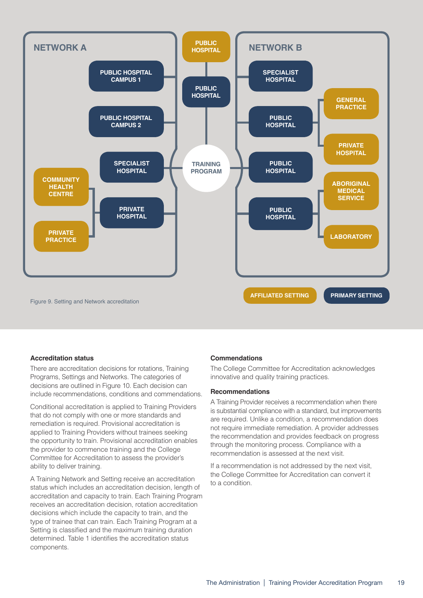

#### **Accreditation status**

There are accreditation decisions for rotations, Training Programs, Settings and Networks. The categories of decisions are outlined in Figure 10. Each decision can include recommendations, conditions and commendations.

Conditional accreditation is applied to Training Providers that do not comply with one or more standards and remediation is required. Provisional accreditation is applied to Training Providers without trainees seeking the opportunity to train. Provisional accreditation enables the provider to commence training and the College Committee for Accreditation to assess the provider's ability to deliver training.

A Training Network and Setting receive an accreditation status which includes an accreditation decision, length of accreditation and capacity to train. Each Training Program receives an accreditation decision, rotation accreditation decisions which include the capacity to train, and the type of trainee that can train. Each Training Program at a Setting is classified and the maximum training duration determined. Table 1 identifies the accreditation status components.

#### **Commendations**

The College Committee for Accreditation acknowledges innovative and quality training practices.

#### **Recommendations**

A Training Provider receives a recommendation when there is substantial compliance with a standard, but improvements are required. Unlike a condition, a recommendation does not require immediate remediation. A provider addresses the recommendation and provides feedback on progress through the monitoring process. Compliance with a recommendation is assessed at the next visit.

If a recommendation is not addressed by the next visit, the College Committee for Accreditation can convert it to a condition.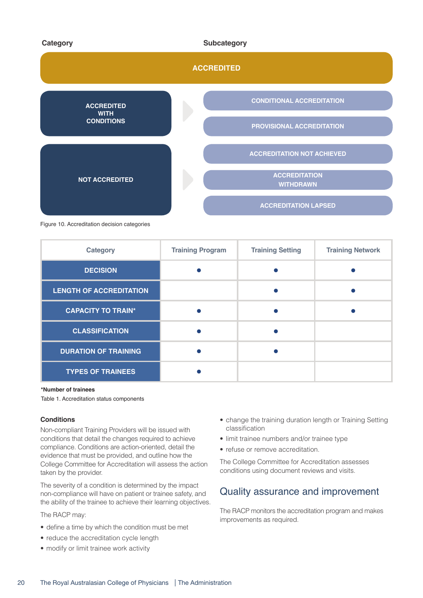**Category Subcategory** 



Figure 10. Accreditation decision categories

| Category                       | <b>Training Program</b> | <b>Training Setting</b> | <b>Training Network</b> |
|--------------------------------|-------------------------|-------------------------|-------------------------|
| <b>DECISION</b>                |                         |                         |                         |
| <b>LENGTH OF ACCREDITATION</b> |                         |                         |                         |
| <b>CAPACITY TO TRAIN*</b>      |                         |                         |                         |
| <b>CLASSIFICATION</b>          |                         |                         |                         |
| <b>DURATION OF TRAINING</b>    |                         |                         |                         |
| <b>TYPES OF TRAINEES</b>       |                         |                         |                         |

#### **\*Number of trainees**

Table 1. Accreditation status components

#### **Conditions**

Non-compliant Training Providers will be issued with conditions that detail the changes required to achieve compliance. Conditions are action-oriented, detail the evidence that must be provided, and outline how the College Committee for Accreditation will assess the action taken by the provider.

The severity of a condition is determined by the impact non-compliance will have on patient or trainee safety, and the ability of the trainee to achieve their learning objectives.

The RACP may:

- define a time by which the condition must be met
- reduce the accreditation cycle length
- modify or limit trainee work activity
- change the training duration length or Training Setting classification
- limit trainee numbers and/or trainee type
- refuse or remove accreditation.

The College Committee for Accreditation assesses conditions using document reviews and visits.

### Quality assurance and improvement

The RACP monitors the accreditation program and makes improvements as required.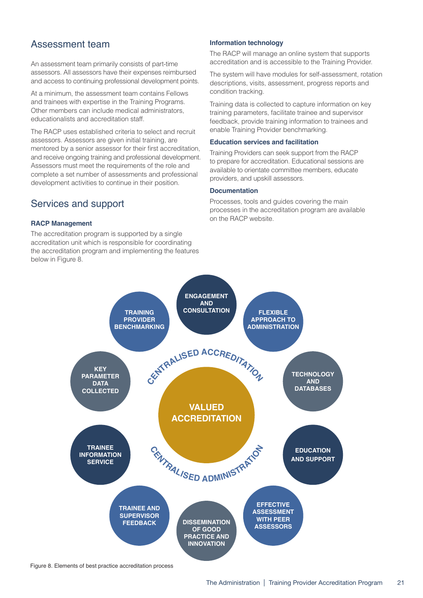## Assessment team

An assessment team primarily consists of part-time assessors. All assessors have their expenses reimbursed and access to continuing professional development points.

At a minimum, the assessment team contains Fellows and trainees with expertise in the Training Programs. Other members can include medical administrators, educationalists and accreditation staff.

The RACP uses established criteria to select and recruit assessors. Assessors are given initial training, are mentored by a senior assessor for their first accreditation, and receive ongoing training and professional development. Assessors must meet the requirements of the role and complete a set number of assessments and professional development activities to continue in their position.

## Services and support

#### **RACP Management**

The accreditation program is supported by a single accreditation unit which is responsible for coordinating the accreditation program and implementing the features below in Figure 8.

#### **Information technology**

The RACP will manage an online system that supports accreditation and is accessible to the Training Provider.

The system will have modules for self-assessment, rotation descriptions, visits, assessment, progress reports and condition tracking.

Training data is collected to capture information on key training parameters, facilitate trainee and supervisor feedback, provide training information to trainees and enable Training Provider benchmarking.

#### **Education services and facilitation**

Training Providers can seek support from the RACP to prepare for accreditation. Educational sessions are available to orientate committee members, educate providers, and upskill assessors.

#### **Documentation**

Processes, tools and guides covering the main processes in the accreditation program are available on the RACP website.



Figure 8. Elements of best practice accreditation process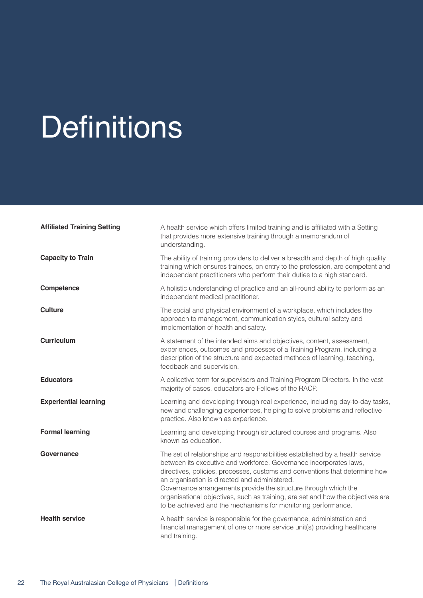## **Definitions**

| <b>Affiliated Training Setting</b> | A health service which offers limited training and is affiliated with a Setting<br>that provides more extensive training through a memorandum of<br>understanding.                                                                                                                                                                                                                                                                                                                                         |
|------------------------------------|------------------------------------------------------------------------------------------------------------------------------------------------------------------------------------------------------------------------------------------------------------------------------------------------------------------------------------------------------------------------------------------------------------------------------------------------------------------------------------------------------------|
| <b>Capacity to Train</b>           | The ability of training providers to deliver a breadth and depth of high quality<br>training which ensures trainees, on entry to the profession, are competent and<br>independent practitioners who perform their duties to a high standard.                                                                                                                                                                                                                                                               |
| Competence                         | A holistic understanding of practice and an all-round ability to perform as an<br>independent medical practitioner.                                                                                                                                                                                                                                                                                                                                                                                        |
| <b>Culture</b>                     | The social and physical environment of a workplace, which includes the<br>approach to management, communication styles, cultural safety and<br>implementation of health and safety.                                                                                                                                                                                                                                                                                                                        |
| <b>Curriculum</b>                  | A statement of the intended aims and objectives, content, assessment,<br>experiences, outcomes and processes of a Training Program, including a<br>description of the structure and expected methods of learning, teaching,<br>feedback and supervision.                                                                                                                                                                                                                                                   |
| <b>Educators</b>                   | A collective term for supervisors and Training Program Directors. In the vast<br>majority of cases, educators are Fellows of the RACP.                                                                                                                                                                                                                                                                                                                                                                     |
| <b>Experiential learning</b>       | Learning and developing through real experience, including day-to-day tasks,<br>new and challenging experiences, helping to solve problems and reflective<br>practice. Also known as experience.                                                                                                                                                                                                                                                                                                           |
| <b>Formal learning</b>             | Learning and developing through structured courses and programs. Also<br>known as education.                                                                                                                                                                                                                                                                                                                                                                                                               |
| Governance                         | The set of relationships and responsibilities established by a health service<br>between its executive and workforce. Governance incorporates laws,<br>directives, policies, processes, customs and conventions that determine how<br>an organisation is directed and administered.<br>Governance arrangements provide the structure through which the<br>organisational objectives, such as training, are set and how the objectives are<br>to be achieved and the mechanisms for monitoring performance. |
| <b>Health service</b>              | A health service is responsible for the governance, administration and<br>financial management of one or more service unit(s) providing healthcare<br>and training.                                                                                                                                                                                                                                                                                                                                        |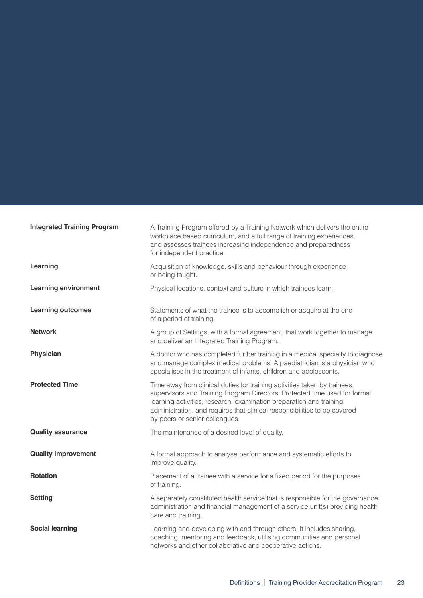| <b>Integrated Training Program</b> | A Training Program offered by a Training Network which delivers the entire<br>workplace based curriculum, and a full range of training experiences,<br>and assesses trainees increasing independence and preparedness<br>for independent practice.                                                                                            |
|------------------------------------|-----------------------------------------------------------------------------------------------------------------------------------------------------------------------------------------------------------------------------------------------------------------------------------------------------------------------------------------------|
| Learning                           | Acquisition of knowledge, skills and behaviour through experience<br>or being taught.                                                                                                                                                                                                                                                         |
| <b>Learning environment</b>        | Physical locations, context and culture in which trainees learn.                                                                                                                                                                                                                                                                              |
| <b>Learning outcomes</b>           | Statements of what the trainee is to accomplish or acquire at the end<br>of a period of training.                                                                                                                                                                                                                                             |
| <b>Network</b>                     | A group of Settings, with a formal agreement, that work together to manage<br>and deliver an Integrated Training Program.                                                                                                                                                                                                                     |
| <b>Physician</b>                   | A doctor who has completed further training in a medical specialty to diagnose<br>and manage complex medical problems. A paediatrician is a physician who<br>specialises in the treatment of infants, children and adolescents.                                                                                                               |
| <b>Protected Time</b>              | Time away from clinical duties for training activities taken by trainees,<br>supervisors and Training Program Directors. Protected time used for formal<br>learning activities, research, examination preparation and training<br>administration, and requires that clinical responsibilities to be covered<br>by peers or senior colleagues. |
| <b>Quality assurance</b>           | The maintenance of a desired level of quality.                                                                                                                                                                                                                                                                                                |
| <b>Quality improvement</b>         | A formal approach to analyse performance and systematic efforts to<br>improve quality.                                                                                                                                                                                                                                                        |
| <b>Rotation</b>                    | Placement of a trainee with a service for a fixed period for the purposes<br>of training.                                                                                                                                                                                                                                                     |
| <b>Setting</b>                     | A separately constituted health service that is responsible for the governance,<br>administration and financial management of a service unit(s) providing health<br>care and training.                                                                                                                                                        |
| <b>Social learning</b>             | Learning and developing with and through others. It includes sharing,<br>coaching, mentoring and feedback, utilising communities and personal<br>networks and other collaborative and cooperative actions.                                                                                                                                    |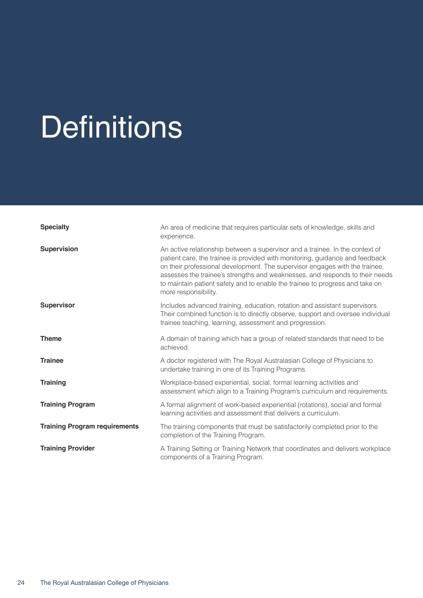## **Definitions**

| <b>Specialty</b>                     | An area of medicine that requires particular sets of knowledge, skills and<br>experience.                                                                                                                                                                                                                                                                                                                                           |
|--------------------------------------|-------------------------------------------------------------------------------------------------------------------------------------------------------------------------------------------------------------------------------------------------------------------------------------------------------------------------------------------------------------------------------------------------------------------------------------|
| <b>Supervision</b>                   | An active relationship between a supervisor and a trainee. In the context of<br>patient care, the trainee is provided with monitoring, guidance and feedback<br>on their professional development. The supervisor engages with the trainee,<br>assesses the trainee's strengths and weaknesses, and responds to their needs<br>to maintain patient safety and to enable the trainee to progress and take on<br>more responsibility. |
| <b>Supervisor</b>                    | Includes advanced training, education, rotation and assistant supervisors.<br>Their combined function is to directly observe, support and oversee individual<br>trainee teaching, learning, assessment and progression.                                                                                                                                                                                                             |
| <b>Theme</b>                         | A domain of training which has a group of related standards that need to be<br>achieved.                                                                                                                                                                                                                                                                                                                                            |
| <b>Trainee</b>                       | A doctor registered with The Royal Australasian College of Physicians to<br>undertake training in one of its Training Programs.                                                                                                                                                                                                                                                                                                     |
| <b>Training</b>                      | Workplace-based experiential, social, formal learning activities and<br>assessment which align to a Training Program's curriculum and requirements.                                                                                                                                                                                                                                                                                 |
| <b>Training Program</b>              | A formal alignment of work-based experiential (rotations), social and formal<br>learning activities and assessment that delivers a curriculum.                                                                                                                                                                                                                                                                                      |
| <b>Training Program requirements</b> | The training components that must be satisfactorily completed prior to the<br>completion of the Training Program.                                                                                                                                                                                                                                                                                                                   |
| <b>Training Provider</b>             | A Training Setting or Training Network that coordinates and delivers workplace<br>components of a Training Program.                                                                                                                                                                                                                                                                                                                 |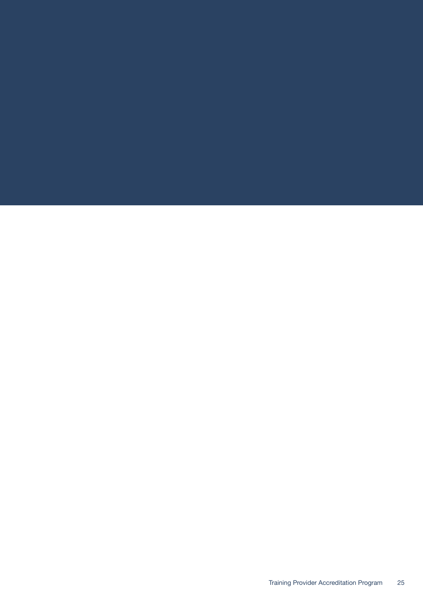Training Provider Accreditation Program 25